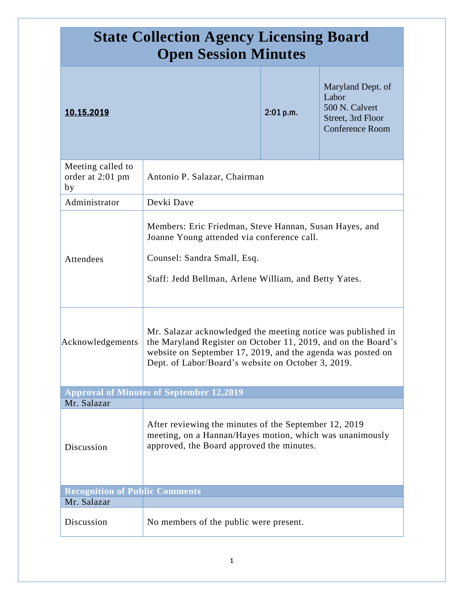| <b>State Collection Agency Licensing Board</b><br><b>Open Session Minutes</b> |                                                                                                                                                                                                                                                    |           |                                                                                             |
|-------------------------------------------------------------------------------|----------------------------------------------------------------------------------------------------------------------------------------------------------------------------------------------------------------------------------------------------|-----------|---------------------------------------------------------------------------------------------|
| 10.15.2019                                                                    |                                                                                                                                                                                                                                                    | 2:01 p.m. | Maryland Dept. of<br>Labor<br>500 N. Calvert<br>Street, 3rd Floor<br><b>Conference Room</b> |
| Meeting called to<br>order at 2:01 pm<br>by                                   | Antonio P. Salazar, Chairman                                                                                                                                                                                                                       |           |                                                                                             |
| Administrator                                                                 | Devki Dave                                                                                                                                                                                                                                         |           |                                                                                             |
| Attendees                                                                     | Members: Eric Friedman, Steve Hannan, Susan Hayes, and<br>Joanne Young attended via conference call.<br>Counsel: Sandra Small, Esq.<br>Staff: Jedd Bellman, Arlene William, and Betty Yates.                                                       |           |                                                                                             |
| Acknowledgements                                                              | Mr. Salazar acknowledged the meeting notice was published in<br>the Maryland Register on October 11, 2019, and on the Board's<br>website on September 17, 2019, and the agenda was posted on<br>Dept. of Labor/Board's website on October 3, 2019. |           |                                                                                             |
|                                                                               | <b>Approval of Minutes of September 12,2019</b>                                                                                                                                                                                                    |           |                                                                                             |
| Mr. Salazar<br>Discussion                                                     | After reviewing the minutes of the September 12, 2019<br>meeting, on a Hannan/Hayes motion, which was unanimously<br>approved, the Board approved the minutes.                                                                                     |           |                                                                                             |
| <b>Recognition of Public Comments</b>                                         |                                                                                                                                                                                                                                                    |           |                                                                                             |
| Mr. Salazar                                                                   |                                                                                                                                                                                                                                                    |           |                                                                                             |
| Discussion                                                                    | No members of the public were present.                                                                                                                                                                                                             |           |                                                                                             |